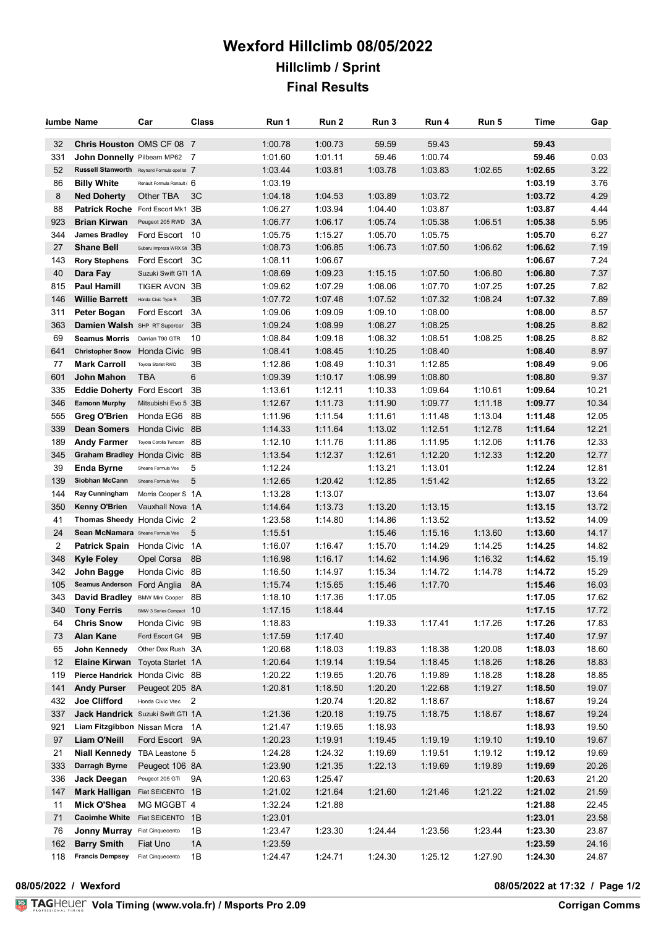## **Wexford Hillclimb 08/05/2022 Hillclimb / Sprint Final Results**

| lumbe Name |                                                                                     | Car                         | Class | Run 1              | Run 2              | Run 3          | Run 4            | Run 5   | Time           | Gap   |
|------------|-------------------------------------------------------------------------------------|-----------------------------|-------|--------------------|--------------------|----------------|------------------|---------|----------------|-------|
|            |                                                                                     |                             |       |                    |                    |                |                  |         |                |       |
| 32<br>331  | Chris Houston OMS CF 08 7                                                           |                             |       | 1:00.78<br>1:01.60 | 1:00.73<br>1:01.11 | 59.59<br>59.46 | 59.43<br>1:00.74 |         | 59.43<br>59.46 | 0.03  |
| 52         | <b>John Donnelly</b> Pilbeam MP62 7<br>Russell Stanworth Reynard Formula opel lot 7 |                             |       | 1:03.44            | 1:03.81            | 1:03.78        | 1:03.83          | 1:02.65 | 1:02.65        | 3.22  |
| 86         | <b>Billy White</b>                                                                  | Renault Formula Renault ( 6 |       | 1:03.19            |                    |                |                  |         | 1:03.19        | 3.76  |
| 8          | <b>Ned Doherty</b>                                                                  | Other TBA                   | 3C    | 1:04.18            | 1:04.53            | 1:03.89        | 1:03.72          |         | 1:03.72        | 4.29  |
| 88         | Patrick Roche Ford Escort Mk1 3B                                                    |                             |       | 1:06.27            | 1:03.94            | 1:04.40        | 1:03.87          |         | 1:03.87        | 4.44  |
| 923        | <b>Brian Kirwan</b>                                                                 | Peugeot 205 RWD 3A          |       | 1:06.77            | 1:06.17            | 1:05.74        | 1:05.38          | 1:06.51 | 1:05.38        | 5.95  |
| 344        | <b>James Bradley</b>                                                                | Ford Escort 10              |       | 1:05.75            | 1:15.27            | 1:05.70        | 1:05.75          |         | 1:05.70        | 6.27  |
| 27         | <b>Shane Bell</b>                                                                   | Subaru Impreza WRX Sti 3B   |       | 1:08.73            | 1:06.85            | 1:06.73        | 1:07.50          | 1:06.62 | 1:06.62        | 7.19  |
| 143        | <b>Rory Stephens</b>                                                                | Ford Escort 3C              |       | 1:08.11            | 1:06.67            |                |                  |         | 1:06.67        | 7.24  |
| 40         | Dara Fay                                                                            | Suzuki Swift GTI 1A         |       | 1:08.69            | 1:09.23            | 1:15.15        | 1:07.50          | 1:06.80 | 1:06.80        | 7.37  |
| 815        | <b>Paul Hamill</b>                                                                  | TIGER AVON 3B               |       | 1:09.62            | 1:07.29            | 1:08.06        | 1:07.70          | 1:07.25 | 1:07.25        | 7.82  |
| 146        | <b>Willie Barrett</b>                                                               | Honda Civic Type R          | 3B    | 1:07.72            | 1:07.48            | 1:07.52        | 1:07.32          | 1:08.24 | 1:07.32        | 7.89  |
| 311        | Peter Bogan                                                                         | Ford Escort                 | 3A    | 1:09.06            | 1:09.09            | 1:09.10        | 1:08.00          |         | 1:08.00        | 8.57  |
| 363        | Damien Walsh SHP RT Supercar                                                        |                             | 3B    | 1:09.24            | 1:08.99            | 1:08.27        | 1:08.25          |         | 1:08.25        | 8.82  |
| 69         | <b>Seamus Morris</b>                                                                | Darrian T90 GTR             | 10    | 1:08.84            | 1:09.18            | 1:08.32        | 1:08.51          | 1:08.25 | 1:08.25        | 8.82  |
| 641        | Christopher Snow Honda Civic                                                        |                             | 9B    | 1:08.41            | 1:08.45            | 1:10.25        | 1:08.40          |         | 1:08.40        | 8.97  |
| 77         | <b>Mark Carroll</b>                                                                 | Toyota Starlet RWD          | 3B    | 1:12.86            | 1:08.49            | 1:10.31        | 1:12.85          |         | 1:08.49        | 9.06  |
| 601        | John Mahon                                                                          | <b>TBA</b>                  | 6     | 1:09.39            | 1:10.17            | 1:08.99        | 1:08.80          |         | 1:08.80        | 9.37  |
| 335        | Eddie Doherty Ford Escort 3B                                                        |                             |       | 1:13.61            | 1:12.11            | 1:10.33        | 1:09.64          | 1:10.61 | 1:09.64        | 10.21 |
| 346        | <b>Eamonn Murphy</b>                                                                | Mitsubishi Evo 5 3B         |       | 1:12.67            | 1:11.73            | 1:11.90        | 1:09.77          | 1:11.18 | 1:09.77        | 10.34 |
| 555        | <b>Greg O'Brien</b>                                                                 | Honda EG6                   | 8B    | 1:11.96            | 1:11.54            | 1:11.61        | 1:11.48          | 1:13.04 | 1:11.48        | 12.05 |
| 339        | <b>Dean Somers</b>                                                                  | Honda Civic 8B              |       | 1:14.33            | 1:11.64            | 1:13.02        | 1:12.51          | 1:12.78 | 1:11.64        | 12.21 |
| 189        | <b>Andy Farmer</b>                                                                  | Toyota Corolla Twincam 8B   |       | 1:12.10            | 1:11.76            | 1:11.86        | 1:11.95          | 1:12.06 | 1:11.76        | 12.33 |
| 345        | Graham Bradley Honda Civic                                                          |                             | -8B   | 1:13.54            | 1:12.37            | 1:12.61        | 1:12.20          | 1:12.33 | 1:12.20        | 12.77 |
| 39         | Enda Byrne                                                                          | Sheane Formula Vee          | 5     | 1:12.24            |                    | 1:13.21        | 1:13.01          |         | 1:12.24        | 12.81 |
| 139        | Siobhan McCann                                                                      | Sheane Formula Vee          | 5     | 1:12.65            | 1:20.42            | 1:12.85        | 1:51.42          |         | 1:12.65        | 13.22 |
| 144        | Ray Cunningham                                                                      | Morris Cooper S 1A          |       | 1:13.28            | 1:13.07            |                |                  |         | 1:13.07        | 13.64 |
| 350        | <b>Kenny O'Brien</b>                                                                | Vauxhall Nova 1A            |       | 1:14.64            | 1:13.73            | 1:13.20        | 1:13.15          |         | 1:13.15        | 13.72 |
| 41         | <b>Thomas Sheedy Honda Civic 2</b>                                                  |                             |       | 1:23.58            | 1:14.80            | 1:14.86        | 1:13.52          |         | 1:13.52        | 14.09 |
| 24         | Sean McNamara Sheane Formula Vee                                                    |                             | 5     | 1:15.51            |                    | 1:15.46        | 1:15.16          | 1:13.60 | 1:13.60        | 14.17 |
| 2          | <b>Patrick Spain</b> Honda Civic 1A                                                 |                             |       | 1:16.07            | 1:16.47            | 1:15.70        | 1:14.29          | 1:14.25 | 1:14.25        | 14.82 |
| 348        | <b>Kyle Foley</b>                                                                   | Opel Corsa                  | 8B    | 1:16.98            | 1:16.17            | 1:14.62        | 1:14.96          | 1:16.32 | 1:14.62        | 15.19 |
| 342        | John Bagge                                                                          | Honda Civic 8B              |       | 1:16.50            | 1:14.97            | 1:15.34        | 1:14.72          | 1:14.78 | 1:14.72        | 15.29 |
| 105        | Seamus Anderson Ford Anglia                                                         |                             | 8A    | 1:15.74            | 1:15.65            | 1:15.46        | 1:17.70          |         | 1:15.46        | 16.03 |
| 343        | David Bradley BMW Mini Cooper 8B                                                    |                             |       | 1:18.10            | 1:17.36            | 1:17.05        |                  |         | 1:17.05        | 17.62 |
|            | 340 Tony Ferris BMW 3 Series Compact 10                                             |                             |       | 1:17.15            | 1:18.44            |                |                  |         | 1:17.15        | 17.72 |
| 64         | <b>Chris Snow</b>                                                                   | Honda Civic 9B              |       | 1:18.83            |                    | 1:19.33        | 1:17.41          | 1:17.26 | 1:17.26        | 17.83 |
| 73         | Alan Kane                                                                           | Ford Escort G4 9B           |       | 1:17.59            | 1:17.40            |                |                  |         | 1:17.40        | 17.97 |
| 65         | John Kennedy                                                                        | Other Dax Rush 3A           |       | 1:20.68            | 1:18.03            | 1:19.83        | 1:18.38          | 1:20.08 | 1:18.03        | 18.60 |
| 12         | <b>Elaine Kirwan</b> Toyota Starlet 1A                                              |                             |       | 1:20.64            | 1:19.14            | 1:19.54        | 1:18.45          | 1:18.26 | 1:18.26        | 18.83 |
| 119        | Pierce Handrick Honda Civic 8B                                                      |                             |       | 1:20.22            | 1:19.65            | 1:20.76        | 1:19.89          | 1:18.28 | 1:18.28        | 18.85 |
| 141        | <b>Andy Purser</b>                                                                  | Peugeot 205 8A              |       | 1:20.81            | 1:18.50            | 1:20.20        | 1:22.68          | 1:19.27 | 1:18.50        | 19.07 |
| 432        | <b>Joe Clifford</b>                                                                 | Honda Civic Vtec 2          |       |                    | 1:20.74            | 1:20.82        | 1:18.67          |         | 1:18.67        | 19.24 |
| 337        | Jack Handrick Suzuki Swift GTI 1A                                                   |                             |       | 1:21.36            | 1:20.18            | 1:19.75        | 1:18.75          | 1:18.67 | 1:18.67        | 19.24 |
| 921        | Liam Fitzgibbon Nissan Micra 1A                                                     |                             |       | 1:21.47            | 1:19.65            | 1:18.93        |                  |         | 1:18.93        | 19.50 |
| 97         | <b>Liam O'Neill</b>                                                                 | Ford Escort 9A              |       | 1:20.23            | 1:19.91            | 1:19.45        | 1:19.19          | 1:19.10 | 1:19.10        | 19.67 |
| 21         | Niall Kennedy TBA Leastone 5                                                        |                             |       | 1:24.28            | 1:24.32            | 1:19.69        | 1:19.51          | 1:19.12 | 1:19.12        | 19.69 |
| 333        | Darragh Byrne                                                                       | Peugeot 106 8A              |       | 1:23.90            | 1:21.35            | 1:22.13        | 1:19.69          | 1:19.89 | 1:19.69        | 20.26 |
| 336        | Jack Deegan                                                                         | Peugeot 205 GTi             | 9A    | 1:20.63            | 1:25.47            |                |                  |         | 1:20.63        | 21.20 |
| 147        | Mark Halligan Fiat SEICENTO 1B                                                      |                             |       | 1:21.02            | 1:21.64            | 1:21.60        | 1:21.46          | 1:21.22 | 1:21.02        | 21.59 |
| 11         | Mick O'Shea                                                                         | MG MGGBT 4                  |       | 1:32.24            | 1:21.88            |                |                  |         | 1:21.88        | 22.45 |
| 71         | <b>Caoimhe White</b>                                                                | Fiat SEICENTO 1B            |       | 1:23.01            |                    |                |                  |         | 1:23.01        | 23.58 |
| 76         | Jonny Murray Fiat Cinquecento                                                       |                             | 1B    | 1:23.47            | 1:23.30            | 1:24.44        | 1:23.56          | 1:23.44 | 1:23.30        | 23.87 |
| 162        | <b>Barry Smith</b>                                                                  | Fiat Uno                    | 1A    | 1:23.59            |                    |                |                  |         | 1:23.59        | 24.16 |
| 118        | <b>Francis Dempsey</b>                                                              | Fiat Cinquecento            | 1B    | 1:24.47            | 1:24.71            | 1:24.30        | 1:25.12          | 1:27.90 | 1:24.30        | 24.87 |

**08/05/2022 / Wexford 08/05/2022 at 17:32 / Page 1/2**